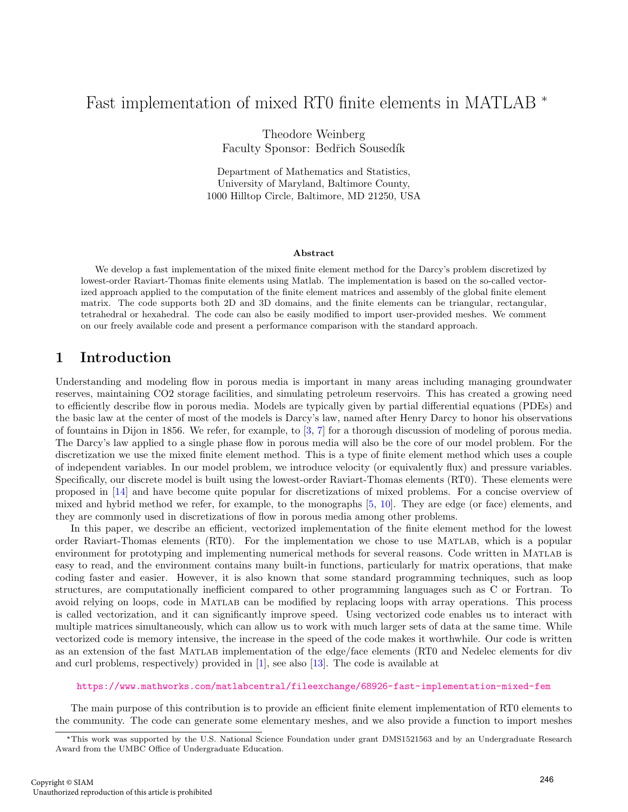# Fast implementation of mixed RT0 finite elements in MATLAB \*

Theodore Weinberg Faculty Sponsor: Bedřich Sousedík

Department of Mathematics and Statistics, University of Maryland, Baltimore County, 1000 Hilltop Circle, Baltimore, MD 21250, USA

#### Abstract

We develop a fast implementation of the mixed finite element method for the Darcy's problem discretized by lowest-order Raviart-Thomas finite elements using Matlab. The implementation is based on the so-called vectorized approach applied to the computation of the finite element matrices and assembly of the global finite element matrix. The code supports both 2D and 3D domains, and the finite elements can be triangular, rectangular, tetrahedral or hexahedral. The code can also be easily modified to import user-provided meshes. We comment on our freely available code and present a performance comparison with the standard approach.

## 1 Introduction

Understanding and modeling flow in porous media is important in many areas including managing groundwater reserves, maintaining CO2 storage facilities, and simulating petroleum reservoirs. This has created a growing need to efficiently describe flow in porous media. Models are typically given by partial differential equations (PDEs) and the basic law at the center of most of the models is Darcy's law, named after Henry Darcy to honor his observations of fountains in Dijon in 1856. We refer, for example, to [\[3,](#page-10-0) [7\]](#page-10-1) for a thorough discussion of modeling of porous media. The Darcy's law applied to a single phase flow in porous media will also be the core of our model problem. For the discretization we use the mixed finite element method. This is a type of finite element method which uses a couple of independent variables. In our model problem, we introduce velocity (or equivalently flux) and pressure variables. Specifically, our discrete model is built using the lowest-order Raviart-Thomas elements (RT0). These elements were proposed in [\[14\]](#page-10-2) and have become quite popular for discretizations of mixed problems. For a concise overview of mixed and hybrid method we refer, for example, to the monographs [\[5,](#page-10-3) [10\]](#page-10-4). They are edge (or face) elements, and they are commonly used in discretizations of flow in porous media among other problems.

In this paper, we describe an efficient, vectorized implementation of the finite element method for the lowest order Raviart-Thomas elements (RT0). For the implementation we chose to use Matlab, which is a popular environment for prototyping and implementing numerical methods for several reasons. Code written in Matlab is easy to read, and the environment contains many built-in functions, particularly for matrix operations, that make coding faster and easier. However, it is also known that some standard programming techniques, such as loop structures, are computationally inefficient compared to other programming languages such as C or Fortran. To avoid relying on loops, code in Matlab can be modified by replacing loops with array operations. This process is called vectorization, and it can significantly improve speed. Using vectorized code enables us to interact with multiple matrices simultaneously, which can allow us to work with much larger sets of data at the same time. While vectorized code is memory intensive, the increase in the speed of the code makes it worthwhile. Our code is written as an extension of the fast Matlab implementation of the edge/face elements (RT0 and Nedelec elements for div and curl problems, respectively) provided in [\[1\]](#page-10-5), see also [\[13\]](#page-10-6). The code is available at

#### <https://www.mathworks.com/matlabcentral/fileexchange/68926-fast-implementation-mixed-fem>

The main purpose of this contribution is to provide an efficient finite element implementation of RT0 elements to the community. The code can generate some elementary meshes, and we also provide a function to import meshes

<sup>\*</sup>This work was supported by the U.S. National Science Foundation under grant DMS1521563 and by an Undergraduate Research Award from the UMBC Office of Undergraduate Education.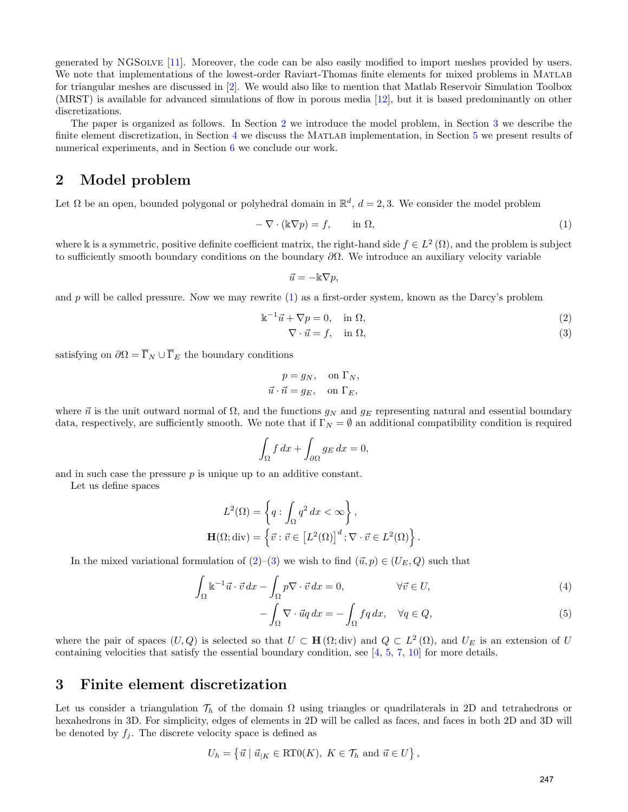generated by NGSolve [\[11\]](#page-10-7). Moreover, the code can be also easily modified to import meshes provided by users. We note that implementations of the lowest-order Raviart-Thomas finite elements for mixed problems in MATLAB for triangular meshes are discussed in [\[2\]](#page-10-8). We would also like to mention that Matlab Reservoir Simulation Toolbox (MRST) is available for advanced simulations of flow in porous media [\[12\]](#page-10-9), but it is based predominantly on other discretizations.

The paper is organized as follows. In Section [2](#page-1-0) we introduce the model problem, in Section [3](#page-1-1) we describe the finite element discretization, in Section [4](#page-6-0) we discuss the MATLAB implementation, in Section [5](#page-8-0) we present results of numerical experiments, and in Section [6](#page-10-10) we conclude our work.

### <span id="page-1-0"></span>2 Model problem

Let  $\Omega$  be an open, bounded polygonal or polyhedral domain in  $\mathbb{R}^d$ ,  $d=2,3$ . We consider the model problem

<span id="page-1-2"></span>
$$
-\nabla \cdot (\mathbb{k}\nabla p) = f, \qquad \text{in } \Omega,\tag{1}
$$

where k is a symmetric, positive definite coefficient matrix, the right-hand side  $f \in L^2(\Omega)$ , and the problem is subject to sufficiently smooth boundary conditions on the boundary  $\partial\Omega$ . We introduce an auxiliary velocity variable

<span id="page-1-4"></span><span id="page-1-3"></span>
$$
\vec{u} = -\mathbb{k} \nabla p,
$$

and p will be called pressure. Now we may rewrite  $(1)$  as a first-order system, known as the Darcy's problem

$$
\mathbb{k}^{-1}\vec{u} + \nabla p = 0, \quad \text{in } \Omega,\tag{2}
$$

$$
\nabla \cdot \vec{u} = f, \quad \text{in } \Omega,\tag{3}
$$

satisfying on  $\partial \Omega = \overline{\Gamma}_N \cup \overline{\Gamma}_E$  the boundary conditions

$$
p = g_N
$$
, on  $\Gamma_N$ ,  
 $\vec{u} \cdot \vec{n} = g_E$ , on  $\Gamma_E$ ,

where  $\vec{n}$  is the unit outward normal of  $\Omega$ , and the functions  $g_N$  and  $g_E$  representing natural and essential boundary data, respectively, are sufficiently smooth. We note that if  $\Gamma_N = \emptyset$  an additional compatibility condition is required

$$
\int_{\Omega} f \, dx + \int_{\partial \Omega} g_E \, dx = 0,
$$

and in such case the pressure  $p$  is unique up to an additive constant.

Let us define spaces

$$
L^{2}(\Omega) = \left\{ q : \int_{\Omega} q^{2} dx < \infty \right\},\
$$

$$
\mathbf{H}(\Omega; \text{div}) = \left\{ \vec{v} : \vec{v} \in \left[L^{2}(\Omega)\right]^{d} ; \nabla \cdot \vec{v} \in L^{2}(\Omega) \right\}.
$$

In the mixed variational formulation of  $(2)$ –[\(3\)](#page-1-4) we wish to find  $(\vec{u}, p) \in (U_E, Q)$  such that

$$
\int_{\Omega} \mathbb{k}^{-1} \vec{u} \cdot \vec{v} \, dx - \int_{\Omega} p \nabla \cdot \vec{v} \, dx = 0, \qquad \forall \vec{v} \in U,
$$
\n(4)

<span id="page-1-6"></span><span id="page-1-5"></span>
$$
-\int_{\Omega} \nabla \cdot \vec{u} q \, dx = -\int_{\Omega} f q \, dx, \quad \forall q \in Q,
$$
\n<sup>(5)</sup>

where the pair of spaces  $(U, Q)$  is selected so that  $U \subset \mathbf{H}(\Omega; d\text{iv})$  and  $Q \subset L^2(\Omega)$ , and  $U_E$  is an extension of U containing velocities that satisfy the essential boundary condition, see  $[4, 5, 7, 10]$  $[4, 5, 7, 10]$  $[4, 5, 7, 10]$  $[4, 5, 7, 10]$  $[4, 5, 7, 10]$  $[4, 5, 7, 10]$  for more details.

### <span id="page-1-1"></span>3 Finite element discretization

Let us consider a triangulation  $\mathcal{T}_h$  of the domain  $\Omega$  using triangles or quadrilaterals in 2D and tetrahedrons or hexahedrons in 3D. For simplicity, edges of elements in 2D will be called as faces, and faces in both 2D and 3D will be denoted by  $f_j$ . The discrete velocity space is defined as

$$
U_h = \left\{ \vec{u} \mid \vec{u}_{|K} \in \text{RT0}(K), \ K \in \mathcal{T}_h \text{ and } \vec{u} \in U \right\},\
$$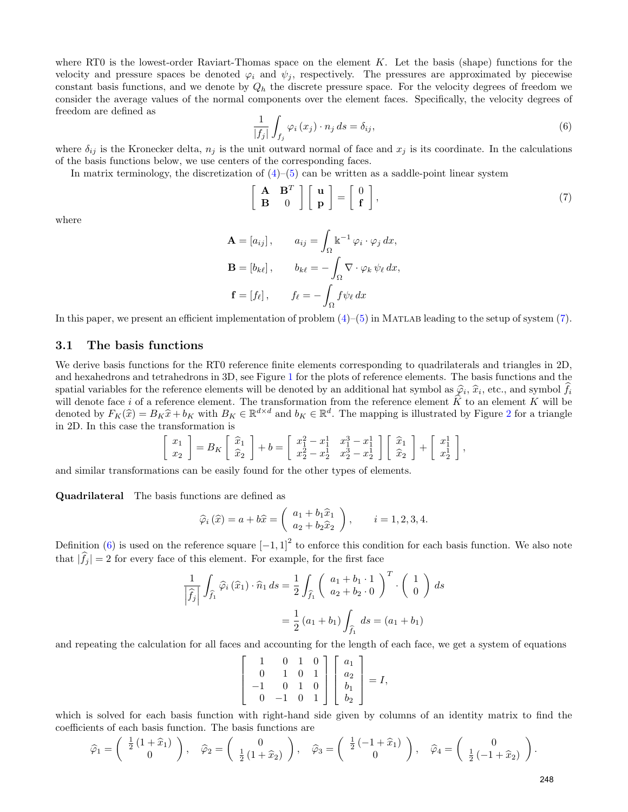where RT0 is the lowest-order Raviart-Thomas space on the element  $K$ . Let the basis (shape) functions for the velocity and pressure spaces be denoted  $\varphi_i$  and  $\psi_j$ , respectively. The pressures are approximated by piecewise constant basis functions, and we denote by  $Q_h$  the discrete pressure space. For the velocity degrees of freedom we consider the average values of the normal components over the element faces. Specifically, the velocity degrees of freedom are defined as

<span id="page-2-1"></span>
$$
\frac{1}{|f_j|} \int_{f_j} \varphi_i(x_j) \cdot n_j \, ds = \delta_{ij},\tag{6}
$$

where  $\delta_{ij}$  is the Kronecker delta,  $n_j$  is the unit outward normal of face and  $x_j$  is its coordinate. In the calculations of the basis functions below, we use centers of the corresponding faces.

In matrix terminology, the discretization of  $(4)$ – $(5)$  can be written as a saddle-point linear system

<span id="page-2-0"></span>
$$
\left[\begin{array}{cc} \mathbf{A} & \mathbf{B}^T \\ \mathbf{B} & 0 \end{array}\right] \left[\begin{array}{c} \mathbf{u} \\ \mathbf{p} \end{array}\right] = \left[\begin{array}{c} 0 \\ \mathbf{f} \end{array}\right],\tag{7}
$$

where

$$
\mathbf{A} = [a_{ij}], \qquad a_{ij} = \int_{\Omega} \mathbb{k}^{-1} \varphi_i \cdot \varphi_j dx,
$$

$$
\mathbf{B} = [b_{k\ell}], \qquad b_{k\ell} = -\int_{\Omega} \nabla \cdot \varphi_k \psi_\ell dx,
$$

$$
\mathbf{f} = [f_\ell], \qquad f_\ell = -\int_{\Omega} f \psi_\ell dx
$$

In this paper, we present an efficient implementation of problem  $(4)$ – $(5)$  in MATLAB leading to the setup of system  $(7)$ .

#### 3.1 The basis functions

We derive basis functions for the RT0 reference finite elements corresponding to quadrilaterals and triangles in 2D, and hexahedrons and tetrahedrons in 3D, see Figure [1](#page-3-0) for the plots of reference elements. The basis functions and the spatial variables for the reference elements will be denoted by an additional hat symbol as  $\hat{\varphi}_i$ ,  $\hat{x}_i$ , etc., and symbol  $f_i$ <br>will denote face i of a reference element. The transformation from the reference elemen will denote face i of a reference element. The transformation from the reference element K to an element K will be  $\Gamma$ denoted by  $F_K(\hat{x}) = B_K \hat{x} + b_K$  with  $B_K \in \mathbb{R}^{d \times d}$  and  $b_K \in \mathbb{R}^d$ . The mapping is illustrated by Figure [2](#page-3-1) for a triangle<br>in 2D. In this case the transformation is in 2D. In this case the transformation is

$$
\begin{bmatrix} x_1 \\ x_2 \end{bmatrix} = B_K \begin{bmatrix} \widehat{x}_1 \\ \widehat{x}_2 \end{bmatrix} + b = \begin{bmatrix} x_1^2 - x_1^1 & x_1^3 - x_1^1 \\ x_2^2 - x_2^1 & x_2^3 - x_2^1 \end{bmatrix} \begin{bmatrix} \widehat{x}_1 \\ \widehat{x}_2 \end{bmatrix} + \begin{bmatrix} x_1^1 \\ x_2^1 \end{bmatrix},
$$

and similar transformations can be easily found for the other types of elements.

Quadrilateral The basis functions are defined as

$$
\widehat{\varphi}_i\left(\widehat{x}\right) = a + b\widehat{x} = \left(\begin{array}{c} a_1 + b_1\widehat{x}_1 \\ a_2 + b_2\widehat{x}_2 \end{array}\right), \qquad i = 1, 2, 3, 4.
$$

Definition [\(6\)](#page-2-1) is used on the reference square  $[-1,1]^2$  to enforce this condition for each basis function. We also note that  $|\hat{f}_j| = 2$  for every face of this element. For example, for the first face

$$
\frac{1}{\left|\widehat{f}_j\right|} \int_{\widehat{f}_1} \widehat{\varphi}_i\left(\widehat{x}_1\right) \cdot \widehat{n}_1 ds = \frac{1}{2} \int_{\widehat{f}_1} \left(\begin{array}{c} a_1 + b_1 \cdot 1 \\ a_2 + b_2 \cdot 0 \end{array}\right)^T \cdot \left(\begin{array}{c} 1 \\ 0 \end{array}\right) ds
$$

$$
= \frac{1}{2} \left(a_1 + b_1\right) \int_{\widehat{f}_1} ds = \left(a_1 + b_1\right)
$$

and repeating the calculation for all faces and accounting for the length of each face, we get a system of equations

$$
\begin{bmatrix} 1 & 0 & 1 & 0 \ 0 & 1 & 0 & 1 \ -1 & 0 & 1 & 0 \ 0 & -1 & 0 & 1 \ \end{bmatrix} \begin{bmatrix} a_1 \ a_2 \ b_1 \ b_2 \end{bmatrix} = I,
$$

which is solved for each basis function with right-hand side given by columns of an identity matrix to find the coefficients of each basis function. The basis functions are

$$
\widehat{\varphi}_1 = \begin{pmatrix} \frac{1}{2} \left(1 + \widehat{x}_1\right) \\ 0 \end{pmatrix}, \quad \widehat{\varphi}_2 = \begin{pmatrix} 0 \\ \frac{1}{2} \left(1 + \widehat{x}_2\right) \end{pmatrix}, \quad \widehat{\varphi}_3 = \begin{pmatrix} \frac{1}{2} \left(-1 + \widehat{x}_1\right) \\ 0 \end{pmatrix}, \quad \widehat{\varphi}_4 = \begin{pmatrix} 0 \\ \frac{1}{2} \left(-1 + \widehat{x}_2\right) \end{pmatrix}.
$$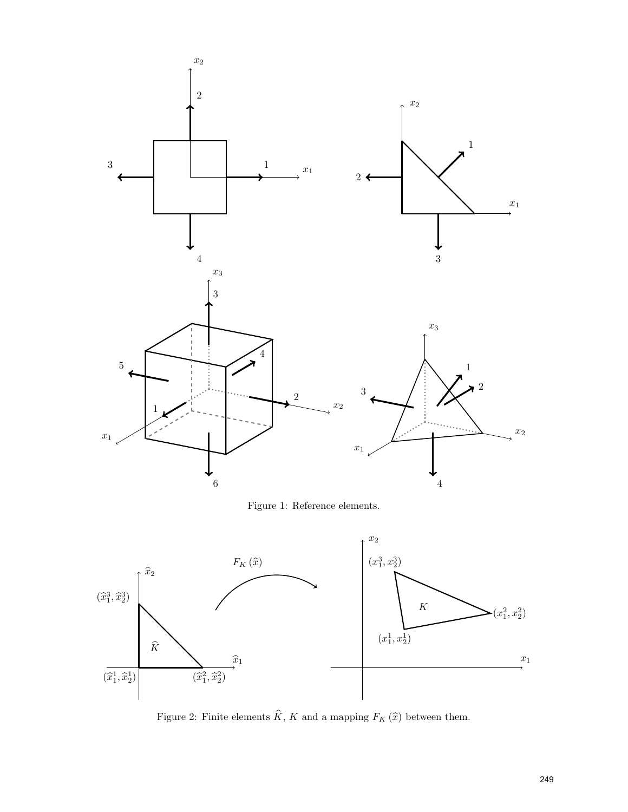<span id="page-3-0"></span>

<span id="page-3-1"></span>Figure 2: Finite elements  $\widehat{K}$ , K and a mapping  $F_K(\widehat{x})$  between them.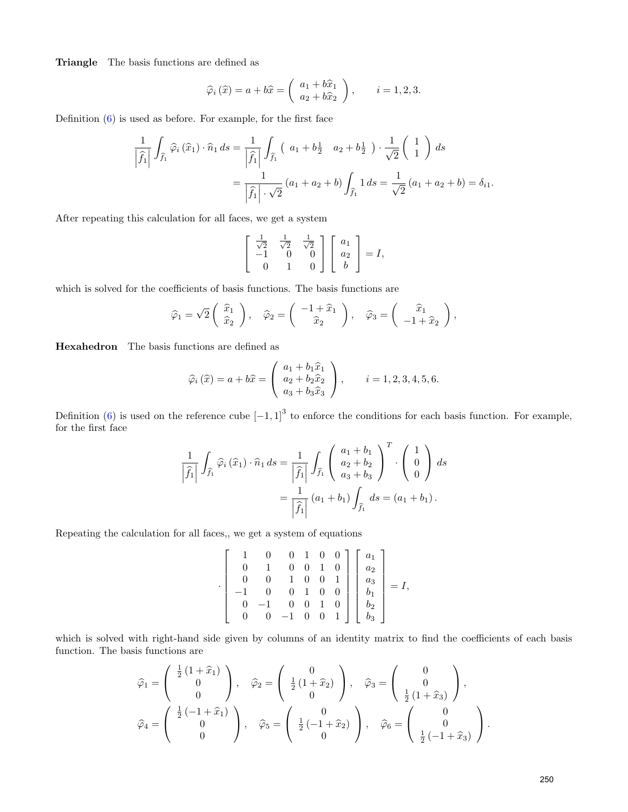Triangle The basis functions are defined as

$$
\widehat{\varphi}_i\left(\widehat{x}\right) = a + b\widehat{x} = \left(\begin{array}{c} a_1 + b\widehat{x}_1 \\ a_2 + b\widehat{x}_2 \end{array}\right), \qquad i = 1, 2, 3.
$$

Definition [\(6\)](#page-2-1) is used as before. For example, for the first face

$$
\frac{1}{\left|\hat{f}_1\right|} \int_{\hat{f}_1} \hat{\varphi}_i\left(\hat{x}_1\right) \cdot \hat{n}_1 ds = \frac{1}{\left|\hat{f}_1\right|} \int_{\hat{f}_1} \left(a_1 + b_2^1 \ a_2 + b_2^1\right) \cdot \frac{1}{\sqrt{2}} \left(\begin{array}{c} 1\\1 \end{array}\right) ds
$$

$$
= \frac{1}{\left|\hat{f}_1\right| \cdot \sqrt{2}} \left(a_1 + a_2 + b\right) \int_{\hat{f}_1} 1 ds = \frac{1}{\sqrt{2}} \left(a_1 + a_2 + b\right) = \delta_{i1}.
$$

After repeating this calculation for all faces, we get a system

$$
\begin{bmatrix} \frac{1}{\sqrt{2}} & \frac{1}{\sqrt{2}} & \frac{1}{\sqrt{2}} \\ -1 & 0 & 0 \\ 0 & 1 & 0 \end{bmatrix} \begin{bmatrix} a_1 \\ a_2 \\ b \end{bmatrix} = I,
$$

which is solved for the coefficients of basis functions. The basis functions are

$$
\widehat{\varphi}_1 = \sqrt{2} \begin{pmatrix} \widehat{x}_1 \\ \widehat{x}_2 \end{pmatrix}, \quad \widehat{\varphi}_2 = \begin{pmatrix} -1 + \widehat{x}_1 \\ \widehat{x}_2 \end{pmatrix}, \quad \widehat{\varphi}_3 = \begin{pmatrix} \widehat{x}_1 \\ -1 + \widehat{x}_2 \end{pmatrix},
$$

Hexahedron The basis functions are defined as

$$
\widehat{\varphi}_{i}(\widehat{x}) = a + b\widehat{x} = \begin{pmatrix} a_{1} + b_{1}\widehat{x}_{1} \\ a_{2} + b_{2}\widehat{x}_{2} \\ a_{3} + b_{3}\widehat{x}_{3} \end{pmatrix}, \qquad i = 1, 2, 3, 4, 5, 6.
$$

Definition [\(6\)](#page-2-1) is used on the reference cube  $[-1,1]^3$  to enforce the conditions for each basis function. For example, for the first face

$$
\frac{1}{\left|\widehat{f}_1\right|} \int_{\widehat{f}_1} \widehat{\varphi}_i\left(\widehat{x}_1\right) \cdot \widehat{n}_1 ds = \frac{1}{\left|\widehat{f}_1\right|} \int_{\widehat{f}_1} \left(\begin{array}{c} a_1 + b_1 \\ a_2 + b_2 \\ a_3 + b_3 \end{array}\right)^T \cdot \left(\begin{array}{c} 1 \\ 0 \\ 0 \end{array}\right) ds
$$

$$
= \frac{1}{\left|\widehat{f}_1\right|} \left(a_1 + b_1\right) \int_{\widehat{f}_1} ds = \left(a_1 + b_1\right).
$$

Repeating the calculation for all faces,, we get a system of equations

$$
\begin{bmatrix} 1 & 0 & 0 & 1 & 0 & 0 \ 0 & 1 & 0 & 0 & 1 & 0 \ 0 & 0 & 1 & 0 & 0 & 1 \ -1 & 0 & 0 & 1 & 0 & 0 \ 0 & -1 & 0 & 0 & 1 & 0 \ 0 & 0 & -1 & 0 & 0 & 1 \ \end{bmatrix} \begin{bmatrix} a_1 \\ a_2 \\ a_3 \\ b_1 \\ b_2 \\ b_3 \end{bmatrix} = I,
$$

which is solved with right-hand side given by columns of an identity matrix to find the coefficients of each basis function. The basis functions are

$$
\widehat{\varphi}_1 = \begin{pmatrix} \frac{1}{2} (1 + \widehat{x}_1) \\ 0 \\ 0 \end{pmatrix}, \quad \widehat{\varphi}_2 = \begin{pmatrix} 0 \\ \frac{1}{2} (1 + \widehat{x}_2) \\ 0 \end{pmatrix}, \quad \widehat{\varphi}_3 = \begin{pmatrix} 0 \\ 0 \\ \frac{1}{2} (1 + \widehat{x}_3) \end{pmatrix},
$$

$$
\widehat{\varphi}_4 = \begin{pmatrix} \frac{1}{2} (-1 + \widehat{x}_1) \\ 0 \\ 0 \end{pmatrix}, \quad \widehat{\varphi}_5 = \begin{pmatrix} 0 \\ \frac{1}{2} (-1 + \widehat{x}_2) \\ 0 \end{pmatrix}, \quad \widehat{\varphi}_6 = \begin{pmatrix} 0 \\ 0 \\ \frac{1}{2} (-1 + \widehat{x}_3) \end{pmatrix}.
$$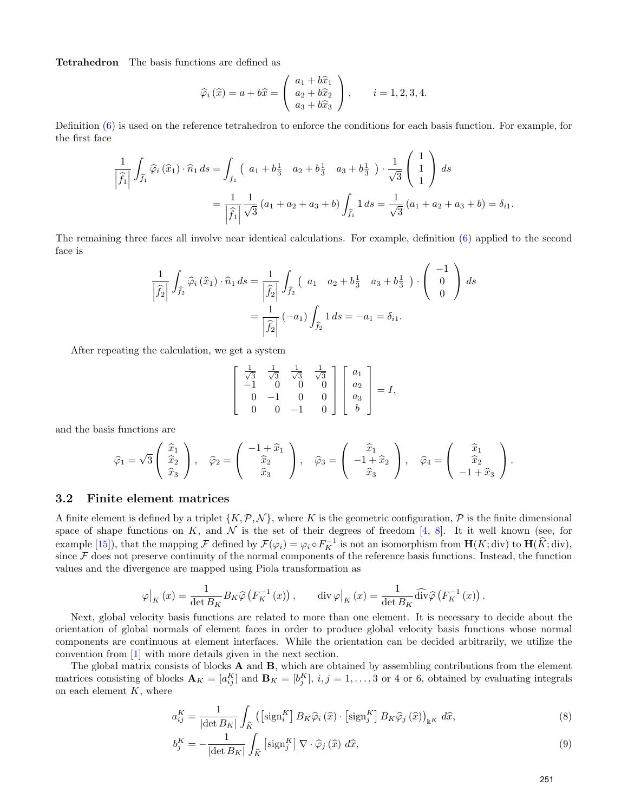Tetrahedron The basis functions are defined as

$$
\widehat{\varphi}_{i}(\widehat{x}) = a + b\widehat{x} = \begin{pmatrix} a_{1} + b\widehat{x}_{1} \\ a_{2} + b\widehat{x}_{2} \\ a_{3} + b\widehat{x}_{3} \end{pmatrix}, \qquad i = 1, 2, 3, 4.
$$

Definition [\(6\)](#page-2-1) is used on the reference tetrahedron to enforce the conditions for each basis function. For example, for the first face

$$
\frac{1}{\left|\widehat{f}_1\right|} \int_{\widehat{f}_1} \widehat{\varphi}_i\left(\widehat{x}_1\right) \cdot \widehat{n}_1 ds = \int_{f_1} \left( a_1 + b_3^{\frac{1}{2}} \quad a_2 + b_3^{\frac{1}{2}} \quad a_3 + b_3^{\frac{1}{2}} \right) \cdot \frac{1}{\sqrt{3}} \begin{pmatrix} 1 \\ 1 \\ 1 \end{pmatrix} ds
$$

$$
= \frac{1}{\left|\widehat{f}_1\right|} \frac{1}{\sqrt{3}} \left(a_1 + a_2 + a_3 + b\right) \int_{\widehat{f}_1} 1 ds = \frac{1}{\sqrt{3}} \left(a_1 + a_2 + a_3 + b\right) = \delta_{i1}.
$$

The remaining three faces all involve near identical calculations. For example, definition [\(6\)](#page-2-1) applied to the second face is

$$
\frac{1}{\left|\hat{f}_2\right|} \int_{\hat{f}_2} \hat{\varphi}_i\left(\hat{x}_1\right) \cdot \hat{n}_1 \, ds = \frac{1}{\left|\hat{f}_2\right|} \int_{\hat{f}_2} \left(a_1 \ a_2 + b_3^1 \ a_3 + b_3^1\right) \cdot \begin{pmatrix} -1\\0\\0 \end{pmatrix} \, ds
$$

$$
= \frac{1}{\left|\hat{f}_2\right|} \left(-a_1\right) \int_{\hat{f}_2} 1 \, ds = -a_1 = \delta_{i1}.
$$

After repeating the calculation, we get a system

$$
\begin{bmatrix} \frac{1}{\sqrt{3}} & \frac{1}{\sqrt{3}} & \frac{1}{\sqrt{3}} & \frac{1}{\sqrt{3}} \\ -1 & 0 & 0 & 0 \\ 0 & -1 & 0 & 0 \\ 0 & 0 & -1 & 0 \end{bmatrix} \begin{bmatrix} a_1 \\ a_2 \\ a_3 \\ b \end{bmatrix} = I,
$$

and the basis functions are

$$
\widehat{\varphi}_1 = \sqrt{3} \begin{pmatrix} \widehat{x}_1 \\ \widehat{x}_2 \\ \widehat{x}_3 \end{pmatrix}, \quad \widehat{\varphi}_2 = \begin{pmatrix} -1 + \widehat{x}_1 \\ \widehat{x}_2 \\ \widehat{x}_3 \end{pmatrix}, \quad \widehat{\varphi}_3 = \begin{pmatrix} \widehat{x}_1 \\ -1 + \widehat{x}_2 \\ \widehat{x}_3 \end{pmatrix}, \quad \widehat{\varphi}_4 = \begin{pmatrix} \widehat{x}_1 \\ \widehat{x}_2 \\ -1 + \widehat{x}_3 \end{pmatrix}.
$$

#### 3.2 Finite element matrices

A finite element is defined by a triplet  $\{K,\mathcal{P},\mathcal{N}\}\,$ , where K is the geometric configuration,  $\mathcal P$  is the finite dimensional space of shape functions on K, and N is the set of their degrees of freedom [\[4,](#page-10-11) [8\]](#page-10-12). It it well known (see, for example [\[15\]](#page-10-13)), that the mapping  $\mathcal F$  defined by  $\mathcal F(\varphi_i) = \varphi_i \circ F_K^{-1}$  is not an isomorphism from  $\mathbf H(K; \operatorname{div})$  to  $\mathbf H(\widehat K; \operatorname{div})$ , since  $\mathcal F$  does not preserve continuity of the normal components of the reference basis functions. Instead, the function values and the divergence are mapped using Piola transformation as

$$
\varphi|_K(x) = \frac{1}{\det B_K} B_K \widehat{\varphi} \left( F_K^{-1}(x) \right), \qquad \text{div } \varphi|_K(x) = \frac{1}{\det B_K} \widehat{\text{div}} \widehat{\varphi} \left( F_K^{-1}(x) \right).
$$

Next, global velocity basis functions are related to more than one element. It is necessary to decide about the orientation of global normals of element faces in order to produce global velocity basis functions whose normal components are continuous at element interfaces. While the orientation can be decided arbitrarily, we utilize the convention from [\[1\]](#page-10-5) with more details given in the next section.

The global matrix consists of blocks  $A$  and  $B$ , which are obtained by assembling contributions from the element matrices consisting of blocks  $\mathbf{A}_K = [a_{ij}^K]$  and  $\mathbf{B}_K = [b_j^K]$ ,  $i, j = 1, ..., 3$  or 4 or 6, obtained by evaluating integrals on each element  $K$ , where

<span id="page-5-0"></span>
$$
a_{ij}^{K} = \frac{1}{|\det B_K|} \int_{\widehat{K}} \left( \left[ \operatorname{sign}_{i}^{K} \right] B_K \widehat{\varphi}_i \left( \widehat{x} \right) \cdot \left[ \operatorname{sign}_{j}^{K} \right] B_K \widehat{\varphi}_j \left( \widehat{x} \right) \right)_{\mathbb{k}^K} d\widehat{x},\tag{8}
$$

$$
b_j^K = -\frac{1}{|\det B_K|} \int_{\widehat{K}} \left[ \text{sign}_j^K \right] \nabla \cdot \widehat{\varphi}_j \left( \widehat{x} \right) \, d\widehat{x},\tag{9}
$$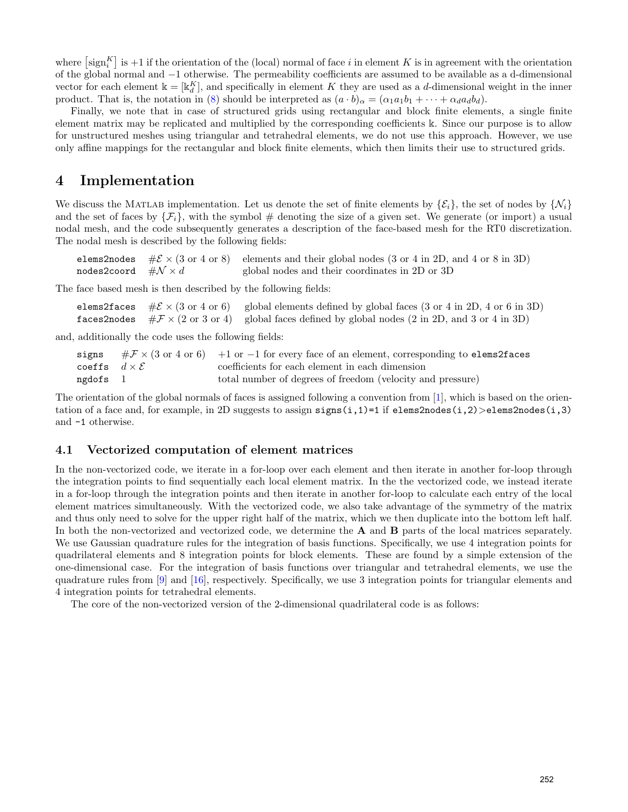where  $\left[\text{sign}_{i}^{K}\right]$  is +1 if the orientation of the (local) normal of face i in element K is in agreement with the orientation of the global normal and −1 otherwise. The permeability coefficients are assumed to be available as a d-dimensional vector for each element  $\mathbb{k} = [\mathbb{k}_d^K]$ , and specifically in element K they are used as a d-dimensional weight in the inner product. That is, the notation in [\(8\)](#page-5-0) should be interpreted as  $(a \cdot b)_{\alpha} = (\alpha_1 a_1 b_1 + \cdots + \alpha_d a_d b_d)$ .

Finally, we note that in case of structured grids using rectangular and block finite elements, a single finite element matrix may be replicated and multiplied by the corresponding coefficients k. Since our purpose is to allow for unstructured meshes using triangular and tetrahedral elements, we do not use this approach. However, we use only affine mappings for the rectangular and block finite elements, which then limits their use to structured grids.

### <span id="page-6-0"></span>4 Implementation

We discuss the MATLAB implementation. Let us denote the set of finite elements by  $\{\mathcal{E}_i\}$ , the set of nodes by  $\{\mathcal{N}_i\}$ and the set of faces by  $\{\mathcal{F}_i\}$ , with the symbol # denoting the size of a given set. We generate (or import) a usual nodal mesh, and the code subsequently generates a description of the face-based mesh for the RT0 discretization. The nodal mesh is described by the following fields:

elems2nodes  $\#\mathcal{E} \times (3 \text{ or } 4 \text{ or } 8)$  elements and their global nodes (3 or 4 in 2D, and 4 or 8 in 3D) nodes2coord  $\#\mathcal{N} \times d$  global nodes and their coordinates in 2D or 3D

The face based mesh is then described by the following fields:

|  | elems2faces $\# \mathcal{E} \times (3 \text{ or } 4 \text{ or } 6)$ global elements defined by global faces (3 or 4 in 2D, 4 or 6 in 3D)                              |
|--|-----------------------------------------------------------------------------------------------------------------------------------------------------------------------|
|  | <b>faces2nodes</b> $#F \times (2 \text{ or } 3 \text{ or } 4)$ global faces defined by global nodes $(2 \text{ in } 2D, \text{ and } 3 \text{ or } 4 \text{ in } 3D)$ |

and, additionally the code uses the following fields:

|                               | signs $\#\mathcal{F} \times (3 \text{ or } 4 \text{ or } 6)$ +1 or -1 for every face of an element, corresponding to elems2faces |
|-------------------------------|----------------------------------------------------------------------------------------------------------------------------------|
| coeffs $d \times \mathcal{E}$ | coefficients for each element in each dimension                                                                                  |
| ngdofs $1$                    | total number of degrees of freedom (velocity and pressure)                                                                       |

The orientation of the global normals of faces is assigned following a convention from [\[1\]](#page-10-5), which is based on the orientation of a face and, for example, in 2D suggests to assign  $sign(s,1)=1$  if elems2nodes $(i,2)>e$ lems2nodes $(i,3)$ and -1 otherwise.

#### 4.1 Vectorized computation of element matrices

In the non-vectorized code, we iterate in a for-loop over each element and then iterate in another for-loop through the integration points to find sequentially each local element matrix. In the the vectorized code, we instead iterate in a for-loop through the integration points and then iterate in another for-loop to calculate each entry of the local element matrices simultaneously. With the vectorized code, we also take advantage of the symmetry of the matrix and thus only need to solve for the upper right half of the matrix, which we then duplicate into the bottom left half. In both the non-vectorized and vectorized code, we determine the **A** and **B** parts of the local matrices separately. We use Gaussian quadrature rules for the integration of basis functions. Specifically, we use 4 integration points for quadrilateral elements and 8 integration points for block elements. These are found by a simple extension of the one-dimensional case. For the integration of basis functions over triangular and tetrahedral elements, we use the quadrature rules from [\[9\]](#page-10-14) and [\[16\]](#page-10-15), respectively. Specifically, we use 3 integration points for triangular elements and 4 integration points for tetrahedral elements.

The core of the non-vectorized version of the 2-dimensional quadrilateral code is as follows: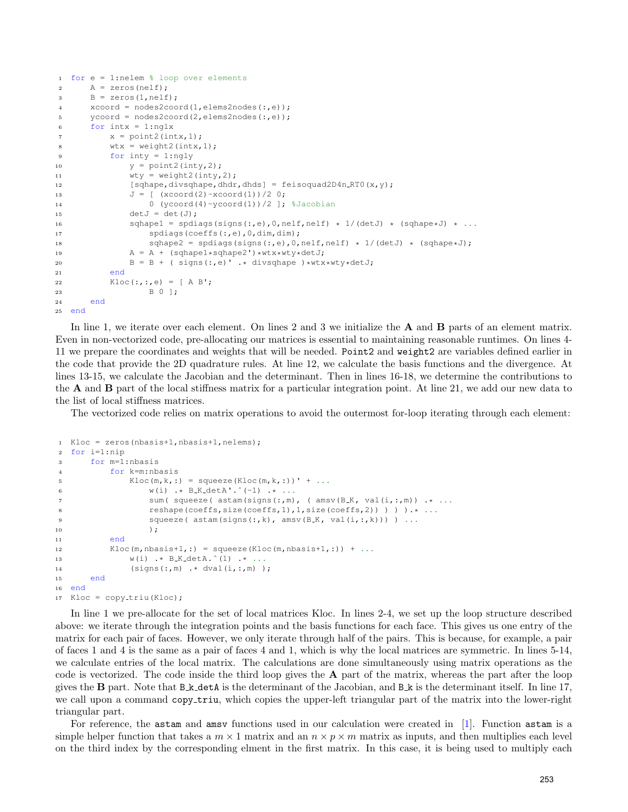```
1 for e = 1:nelem % loop over elements
2 \qquad \qquad \text{A} = \text{zeros}(\text{nelf}):
B = zeros(1, nelf);4 xcoord = nodes2coord(1,elems2nodes(:,e));
5 \text{ ycoord} = \text{nodes2coord}(2, \text{elements2nodes}(:, e));6 for intx = 1:nqlxx = point2(intx, 1);8 wtx = weight2(intx, 1);
9 for inty = 1:ngly
10 y = point2(inty, 2);11 wty = weight2(inty, 2);12 [sqhape,divsqhape,dhdr,dhds] = feisoquad2D4n_RT0(x,y);
13 J = [ (xcoord(2) - xcoord(1))/2 0;14 0 (ycoord(4)-ycoord(1))/2 ]; %Jacobian
15 \det J = \det (J);
16 sqhape1 = spdiags(signs(:,e),0,nelf,nelf) * 1/(detJ) * (sqhape*J) * ...
17 spdiags(coeffs(:,e),0,dim,dim);
18 sqhape2 = spdiags(signs(:,e),0,nelf,nelf) * 1/(detJ) * (sqhape*J);
19 A = A + (sqhape1*sqhape2')*wtx*wty*detJ;20 B = B + ( signs(:,e)' .* divsqhape )*wtx*wty*detJ;21 end
22 Kloc(:,:,:e) = [A \ B';...]23 B 0 ];
24 end
25 end
```
In line 1, we iterate over each element. On lines 2 and 3 we initialize the **A** and **B** parts of an element matrix. Even in non-vectorized code, pre-allocating our matrices is essential to maintaining reasonable runtimes. On lines 4- 11 we prepare the coordinates and weights that will be needed. Point2 and weight2 are variables defined earlier in the code that provide the 2D quadrature rules. At line 12, we calculate the basis functions and the divergence. At lines 13-15, we calculate the Jacobian and the determinant. Then in lines 16-18, we determine the contributions to the A and B part of the local stiffness matrix for a particular integration point. At line 21, we add our new data to the list of local stiffness matrices.

The vectorized code relies on matrix operations to avoid the outermost for-loop iterating through each element:

```
1 Kloc = zeros(nbasis+1,nbasis+1,nelems);
2 for i=1:nip
3 for m=1:nbasis
4 for k=m:nbasis
5 Kloc(m,k,:) = squareze(Kloc(m,k,:))' + ...6 w(i) \rightarrow B.K \cdot \det A' \cdot (i-1) \rightarrow \ldots<br>7 sum (squeeze (astam (signs (:, m)
                    sum( squeeze( astam(signs(:,m), (amsv(B_K, val(i,:,m)) .* ...
8 reshape(coeffs,size(coeffs,1),1,size(coeffs,2)) ) ) ) .* ...<br>9 squeeze( astam(signs(:,k), amsy(B_K, val(i,:,k))) ) ...
                    squaree ( astam(signs(:,k), amsv(B_K, val(i,:,k))) ) ...
10 );
11 end
12 Kloc(m,nbasis+1,:) = squeeze(Kloc(m,nbasis+1,:)) + ...
13 w(i) .* B K detA.ˆ(1) .* ...
                (signs(:,m) \rightarrow * dval(i,:,m) );
15 end
16 end
17 Kloc = copy_triu(Kloc);
```
In line 1 we pre-allocate for the set of local matrices Kloc. In lines 2-4, we set up the loop structure described above: we iterate through the integration points and the basis functions for each face. This gives us one entry of the matrix for each pair of faces. However, we only iterate through half of the pairs. This is because, for example, a pair of faces 1 and 4 is the same as a pair of faces 4 and 1, which is why the local matrices are symmetric. In lines 5-14, we calculate entries of the local matrix. The calculations are done simultaneously using matrix operations as the code is vectorized. The code inside the third loop gives the  $A$  part of the matrix, whereas the part after the loop gives the B part. Note that  $B_k det A$  is the determinant of the Jacobian, and  $B_k$  is the determinant itself. In line 17, we call upon a command copy triu, which copies the upper-left triangular part of the matrix into the lower-right triangular part.

For reference, the astam and amsv functions used in our calculation were created in [\[1\]](#page-10-5). Function astam is a simple helper function that takes a  $m \times 1$  matrix and an  $n \times p \times m$  matrix as inputs, and then multiplies each level on the third index by the corresponding elment in the first matrix. In this case, it is being used to multiply each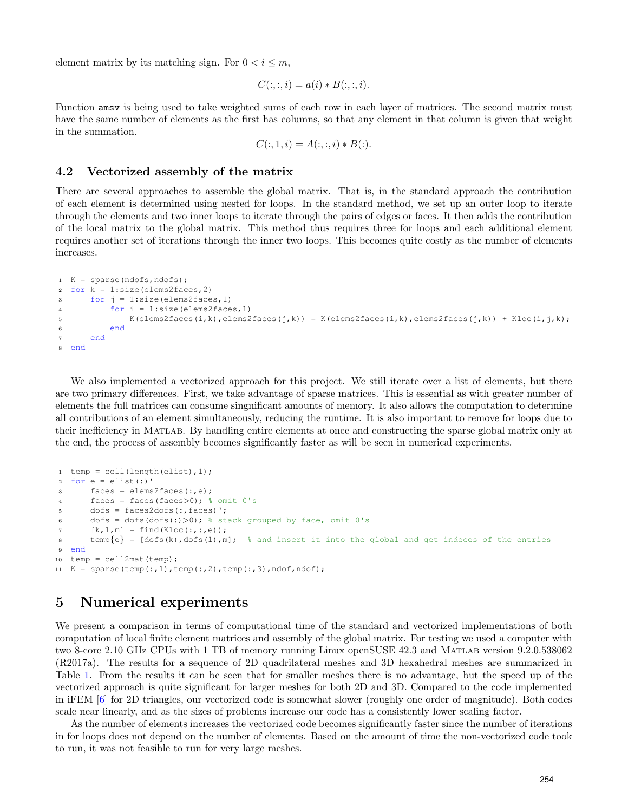element matrix by its matching sign. For  $0 < i \leq m$ ,

$$
C(:, :, i) = a(i) * B(:, :, i).
$$

Function amsv is being used to take weighted sums of each row in each layer of matrices. The second matrix must have the same number of elements as the first has columns, so that any element in that column is given that weight in the summation.

$$
C(:, 1, i) = A(:, :, i) * B(:)
$$

### 4.2 Vectorized assembly of the matrix

There are several approaches to assemble the global matrix. That is, in the standard approach the contribution of each element is determined using nested for loops. In the standard method, we set up an outer loop to iterate through the elements and two inner loops to iterate through the pairs of edges or faces. It then adds the contribution of the local matrix to the global matrix. This method thus requires three for loops and each additional element requires another set of iterations through the inner two loops. This becomes quite costly as the number of elements increases.

```
1 K = sparse(ndofs,ndofs);
2 for k = 1: size(elems2faces, 2)
3 for j = 1:size(elems2faces,1)
4 for i = 1: size (elems2faces, 1)
5 K(elems2faces(i,k),elems2faces(j,k)) = K(elems2faces(i,k),elems2faces(j,k)) + Kloc(i,j,k);
6 end
7 end
8 end
```
We also implemented a vectorized approach for this project. We still iterate over a list of elements, but there are two primary differences. First, we take advantage of sparse matrices. This is essential as with greater number of elements the full matrices can consume singnificant amounts of memory. It also allows the computation to determine all contributions of an element simultaneously, reducing the runtime. It is also important to remove for loops due to their inefficiency in Matlab. By handling entire elements at once and constructing the sparse global matrix only at the end, the process of assembly becomes significantly faster as will be seen in numerical experiments.

```
1 temp = cell(length(elist),1);
2 for e = elist(:)'3 faces = elems2faces(:,e);
4 faces = faces(faces>0); % omit 0's
5 dofs = faces2dofs(:,faces)';
6 dofs = dofs(dofs(:)>0); % stack grouped by face, omit 0's
7 [k, l, m] = \text{find} (Kloc(:, :, e));s temp{e} = [dofs(k),dofs(l),m]; \frac{1}{2} and insert it into the global and get indeces of the entries
9 end
10 temp = cell2mat(temp);
11 K = sparse(temp(:,1),temp(:,2),temp(:,3),ndof,ndof);
```
# <span id="page-8-0"></span>5 Numerical experiments

We present a comparison in terms of computational time of the standard and vectorized implementations of both computation of local finite element matrices and assembly of the global matrix. For testing we used a computer with two 8-core 2.10 GHz CPUs with 1 TB of memory running Linux openSUSE 42.3 and Matlab version 9.2.0.538062 (R2017a). The results for a sequence of 2D quadrilateral meshes and 3D hexahedral meshes are summarized in Table [1.](#page-9-0) From the results it can be seen that for smaller meshes there is no advantage, but the speed up of the vectorized approach is quite significant for larger meshes for both 2D and 3D. Compared to the code implemented in iFEM [\[6\]](#page-10-16) for 2D triangles, our vectorized code is somewhat slower (roughly one order of magnitude). Both codes scale near linearly, and as the sizes of problems increase our code has a consistently lower scaling factor.

As the number of elements increases the vectorized code becomes significantly faster since the number of iterations in for loops does not depend on the number of elements. Based on the amount of time the non-vectorized code took to run, it was not feasible to run for very large meshes.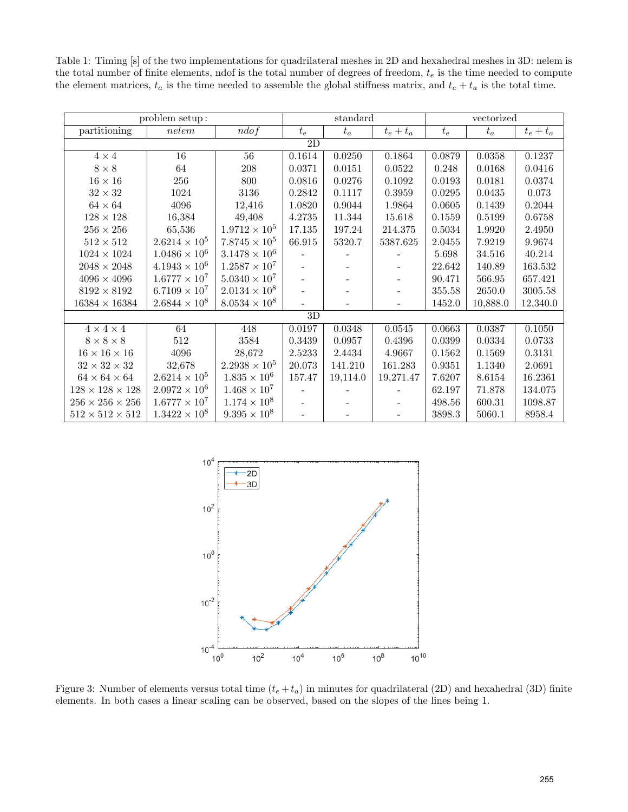<span id="page-9-0"></span>Table 1: Timing [s] of the two implementations for quadrilateral meshes in 2D and hexahedral meshes in 3D: nelem is the total number of finite elements, ndof is the total number of degrees of freedom,  $t_e$  is the time needed to compute the element matrices,  $t_a$  is the time needed to assemble the global stiffness matrix, and  $t_e + t_a$  is the total time.

| problem setup:           |                        |                        | standard |          |                          | vectorized |            |             |  |  |  |
|--------------------------|------------------------|------------------------|----------|----------|--------------------------|------------|------------|-------------|--|--|--|
| partitioning             | nelem                  | ndof                   | $t_e$    | $t_a$    | $t_e + t_a$              | $t_e$      | $t_a$      | $t_e + t_a$ |  |  |  |
| $\overline{2D}$          |                        |                        |          |          |                          |            |            |             |  |  |  |
| $4\times4$               | $\overline{16}$        | $\overline{56}$        | 0.1614   | 0.0250   | 0.1864                   | 0.0879     | 0.0358     | 0.1237      |  |  |  |
| $8\times8$               | 64                     | 208                    | 0.0371   | 0.0151   | 0.0522                   | 0.248      | 0.0168     | 0.0416      |  |  |  |
| $16\times16$             | 256                    | 800                    | 0.0816   | 0.0276   | 0.1092                   | 0.0193     | 0.0181     | 0.0374      |  |  |  |
| $32\times32$             | 1024                   | $3136\,$               | 0.2842   | 0.1117   | 0.3959                   | 0.0295     | 0.0435     | 0.073       |  |  |  |
| $64\times64$             | 4096                   | 12,416                 | 1.0820   | 0.9044   | 1.9864                   | 0.0605     | 0.1439     | 0.2044      |  |  |  |
| $128\times128$           | 16,384                 | 49,408                 | 4.2735   | 11.344   | 15.618                   | 0.1559     | $0.5199\,$ | 0.6758      |  |  |  |
| $256\times256$           | 65,536                 | $1.9712 \times 10^5$   | 17.135   | 197.24   | 214.375                  | 0.5034     | 1.9920     | 2.4950      |  |  |  |
| $512\times512$           | $2.6214 \times 10^{5}$ | $7.8745 \times 10^{5}$ | 66.915   | 5320.7   | 5387.625                 | 2.0455     | 7.9219     | 9.9674      |  |  |  |
| $1024 \times 1024$       | $1.0486 \times 10^6$   | $3.1478 \times 10^6$   |          |          |                          | 5.698      | 34.516     | 40.214      |  |  |  |
| $2048\times2048$         | $4.1943 \times 10^6$   | $1.2587 \times 10^7$   |          |          |                          | 22.642     | 140.89     | 163.532     |  |  |  |
| $4096\times4096$         | $1.6777 \times 10^{7}$ | $5.0340 \times 10^7$   |          | -        | -                        | 90.471     | 566.95     | 657.421     |  |  |  |
| $8192\times8192$         | $6.7109 \times 10^{7}$ | $2.0134 \times 10^8$   |          |          |                          | 355.58     | 2650.0     | 3005.58     |  |  |  |
| $16384\times16384$       | $2.6844 \times 10^8$   | $8.0534 \times 10^8$   |          |          | $\overline{\phantom{a}}$ | 1452.0     | 10,888.0   | 12,340.0    |  |  |  |
| 3D                       |                        |                        |          |          |                          |            |            |             |  |  |  |
| $4\times4\times4$        | 64                     | 448                    | 0.0197   | 0.0348   | 0.0545                   | 0.0663     | 0.0387     | 0.1050      |  |  |  |
| $8\times8\times8$        | 512                    | 3584                   | 0.3439   | 0.0957   | 0.4396                   | 0.0399     | 0.0334     | 0.0733      |  |  |  |
| $16\times16\times16$     | 4096                   | 28,672                 | 2.5233   | 2.4434   | 4.9667                   | 0.1562     | 0.1569     | 0.3131      |  |  |  |
| $32\times32\times32$     | 32,678                 | $2.2938\times10^5$     | 20.073   | 141.210  | 161.283                  | 0.9351     | 1.1340     | 2.0691      |  |  |  |
| $64 \times 64 \times 64$ | $2.6214 \times 10^{5}$ | $1.835 \times 10^{6}$  | 157.47   | 19,114.0 | 19,271.47                | 7.6207     | 8.6154     | 16.2361     |  |  |  |
| $128\times128\times128$  | $2.0972 \times 10^6$   | $1.468 \times 10^{7}$  |          |          |                          | 62.197     | 71.878     | 134.075     |  |  |  |
| $256\times256\times256$  | $1.6777 \times 10^{7}$ | $1.174 \times 10^{8}$  |          |          |                          | 498.56     | 600.31     | 1098.87     |  |  |  |
| $512\times512\times512$  | $1.3422 \times 10^8$   | $9.395 \times 10^8$    |          |          |                          | 3898.3     | 5060.1     | 8958.4      |  |  |  |

<span id="page-9-1"></span>

Figure 3: Number of elements versus total time  $(t_e + t_a)$  in minutes for quadrilateral (2D) and hexahedral (3D) finite elements. In both cases a linear scaling can be observed, based on the slopes of the lines being 1.